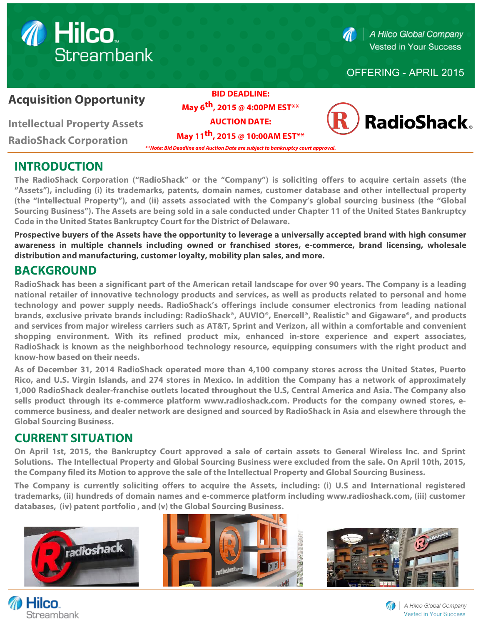# **1** Hilco. **Streambank**

 $\blacksquare$ 

A Hilco Global Company **Vested in Your Success** 

#### OFFERING - APRIL 2015

# **Acquisition Opportunity**

**Intellectual Property Assets** 

**RadioShack Corporation**

**BID DEADLINE: May 6th, 2015 @ 4:00PM EST\*\***

**AUCTION DATE: May 11th, 2015 @ 10:00AM EST\*\***

**\*\*Note: Bid Deadline and Auction Date are subject to bankruptcy court approval.**



# **INTRODUCTION**

**The RadioShack Corporation ("RadioShack" or the "Company") is soliciting offers to acquire certain assets (the "Assets"), including (i) its trademarks, patents, domain names, customer database and other intellectual property (the "Intellectual Property"), and (ii) assets associated with the Company's global sourcing business (the "Global [Sourcing Bu](http://www.nytimes.com/2006/05/08/us/08cook.html?ex=1304740800&en=3989cd6cb5229266&ei=5090&partner=rssuserland&emc=rss&_r=0)siness"). The Assets are being sold in a sale conducted under Chapter 11 of the United States Bankruptcy Code in the United States Bankruptcy Court for the District of Delaware.**

**Prospective buyers of the Assets have the opportunity to leverage a universally accepted brand with high consumer awareness in multiple channels including owned or franchised stores, e-commerce, brand licensing, wholesale distribution and manufacturing, customer loyalty, mobility plan sales, and more.**

# **BACKGROUND**

**RadioShack has been a significant part of the American retail landscape for over 90 years. The Company is a leading national retailer of innovative technology products and services, as well as products related to personal and home technology and power supply needs. RadioShack's offerings include consumer electronics from leading national brands, exclusive private brands including: RadioShack®, AUVIO®, Enercell®, Realistic® and Gigaware®, and products and services from major wireless carriers such as AT&T, Sprint and Verizon, all within a comfortable and convenient shopping environment. With its refined product mix, enhanced in-store experience and expert associates, RadioShack is known as the neighborhood technology resource, equipping consumers with the right product and know-how based on their needs.**

**As of December 31, 2014 RadioShack operated more than 4,100 company stores across the United States, Puerto Rico, and U.S. Virgin Islands, and 274 stores in Mexico. In addition the Company has a network of approximately 1,000 RadioShack dealer-franchise outlets located throughout the U.S, Central America and Asia. The Company also sells product through its e-commerce platform www.radioshack.com. Products for the company owned stores, ecommerce business, and dealer network are designed and sourced by RadioShack in Asia and elsewhere through the Global Sourcing Business.**

# **CURRENT SITUATION**

**On April 1st, 2015, the Bankruptcy Court approved a sale of certain assets to General Wireless Inc. and Sprint Solutions. The Intellectual Property and Global Sourcing Business were excluded from the sale. On April 10th, 2015, the Company filed its Motion to approve the sale of the Intellectual Property and Global Sourcing Business.**

**The Company is currently soliciting offers to acquire the Assets, including: (i) U.S and International registered trademarks, (ii) hundreds of domain names and e-commerce platform including www.radioshack.com, (iii) customer databases, (iv) patent portfolio , and (v) the Global Sourcing Business.**



*M* Hilco.

**Streambank**